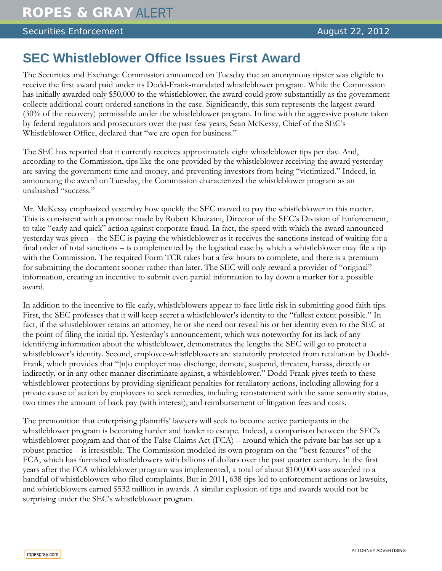## Securities Enforcement August 22, 2012

## **SEC Whistleblower Office Issues First Award**

The Securities and Exchange Commission announced on Tuesday that an anonymous tipster was eligible to receive the first award paid under its Dodd-Frank-mandated whistleblower program. While the Commission has initially awarded only \$50,000 to the whistleblower, the award could grow substantially as the government collects additional court-ordered sanctions in the case. Significantly, this sum represents the largest award (30% of the recovery) permissible under the whistleblower program. In line with the aggressive posture taken by federal regulators and prosecutors over the past few years, Sean McKessy, Chief of the SEC's Whistleblower Office, declared that "we are open for business."

The SEC has reported that it currently receives approximately eight whistleblower tips per day. And, according to the Commission, tips like the one provided by the whistleblower receiving the award yesterday are saving the government time and money, and preventing investors from being "victimized." Indeed, in announcing the award on Tuesday, the Commission characterized the whistleblower program as an unabashed "success."

Mr. McKessy emphasized yesterday how quickly the SEC moved to pay the whistleblower in this matter. This is consistent with a promise made by Robert Khuzami, Director of the SEC's Division of Enforcement, to take "early and quick" action against corporate fraud. In fact, the speed with which the award announced yesterday was given – the SEC is paying the whistleblower as it receives the sanctions instead of waiting for a final order of total sanctions – is complemented by the logistical ease by which a whistleblower may file a tip with the Commission. The required Form TCR takes but a few hours to complete, and there is a premium for submitting the document sooner rather than later. The SEC will only reward a provider of "original" information, creating an incentive to submit even partial information to lay down a marker for a possible award.

In addition to the incentive to file early, whistleblowers appear to face little risk in submitting good faith tips. First, the SEC professes that it will keep secret a whistleblower's identity to the "fullest extent possible." In fact, if the whistleblower retains an attorney, he or she need not reveal his or her identity even to the SEC at the point of filing the initial tip. Yesterday's announcement, which was noteworthy for its lack of any identifying information about the whistleblower, demonstrates the lengths the SEC will go to protect a whistleblower's identity. Second, employee-whistleblowers are statutorily protected from retaliation by Dodd-Frank, which provides that "[n]o employer may discharge, demote, suspend, threaten, harass, directly or indirectly, or in any other manner discriminate against, a whistleblower." Dodd-Frank gives teeth to these whistleblower protections by providing significant penalties for retaliatory actions, including allowing for a private cause of action by employees to seek remedies, including reinstatement with the same seniority status, two times the amount of back pay (with interest), and reimbursement of litigation fees and costs.

The premonition that enterprising plaintiffs' lawyers will seek to become active participants in the whistleblower program is becoming harder and harder to escape. Indeed, a comparison between the SEC's whistleblower program and that of the False Claims Act (FCA) – around which the private bar has set up a robust practice – is irresistible. The Commission modeled its own program on the "best features" of the FCA, which has furnished whistleblowers with billions of dollars over the past quarter century. In the first years after the FCA whistleblower program was implemented, a total of about \$100,000 was awarded to a handful of whistleblowers who filed complaints. But in 2011, 638 tips led to enforcement actions or lawsuits, and whistleblowers earned \$532 million in awards. A similar explosion of tips and awards would not be surprising under the SEC's whistleblower program.